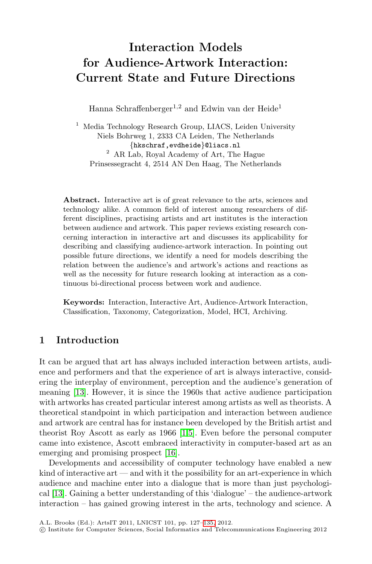# **Interaction Models for Audience-Artwork Interaction: Current State and Future Directions**

Hanna Schraffenberger<sup>1,2</sup> and Edwin van der Heide<sup>1</sup>

<sup>1</sup> Media Technology Research Group, LIACS, Leiden University Niels Bohrweg 1, 2333 CA Leiden, The Netherlands *{*hkschraf,evdheide*}*@liacs.nl <sup>2</sup> AR Lab, Royal Academy of Art, The Hague Prinsessegracht 4, 2514 AN Den Haag, The Netherlands

**Abstract.** Interactive art is of great relevance to the arts, sciences and technology alike. A common field of interest among researchers of different disciplines, practising artists and art institutes is the interaction between audience and artwork. This paper reviews existing research concerning interaction in interactive art and discusses its applicability for describing and classifying audience-artwork interaction. In pointing out possible future directions, we identify a need for models describing the relation between the audience's and artwork's actions and reactions as well as the necessity for future research looking at interaction as a continuous bi-directional process between work and audience.

**Keywords:** Interaction, Interactive Art, Audience-Artwork Interaction, Classification, Taxonomy, Categorization, Model, HCI, Archiving.

### **1 Introduction**

It can be argued tha[t](#page-7-0) [ar](#page-8-0)t has always included interaction between artists, audience and perfor[mers](#page-8-1) and that the experience of art is always interactive, considering the interplay of environment, perception and the audience's generation of meaning [13]. However, it is since the 1960s that active audience participation with artworks has created particular interest among artists as well as theorists. A theoretical standpoint in which participation and interaction between audience and artwork are central has for instance been developed by the British artist and theorist Roy Ascott as early as 1966 [1,5]. Even before the personal computer came into existence, Ascot[t em](#page-8-2)braced interactivity in computer-based art as an emerging and promising prospect [16].

Developments and accessibility of computer technology have enabled a new  $\text{kind of}$  interactive art — and with it the possibility for an art-experience in which audience and machine enter into a dialogue that is more than just psychological [13]. Gaining a better understanding of this 'dialogue' – the audience-artwork interaction – has gained growing interest in the arts, technology and science. A

A.L. Brooks (Ed.): ArtsIT 2011, LNICST 101, pp. 127–135, 2012.

<sup>-</sup>c Institute for Computer Sciences, Social Informatics and Telecommunications Engineering 2012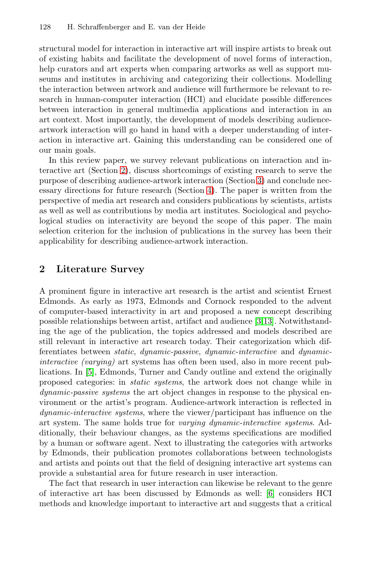#### 128 H. Schraffenberger and E. van der Heide

structural model for interaction in interactive art will inspire artists to break out of existing habits and facilitate the development of novel forms of interaction, help curators and art experts when comparing artworks as well as support museums and institutes in archiving and categorizing their collections. Modelling the [int](#page-1-0)eraction between artwork and audience will furthermore be relevant to research in human-computer interaction ([HC](#page-5-0)I) and elucidate possible differences between interaction in gen[er](#page-7-1)al multimedia applications and interaction in an art context. Most importantly, the development of models describing audienceartwork interaction will go hand in hand with a deeper understanding of interaction in interactive art. Gaining this understanding can be considered one of our main goals.

<span id="page-1-0"></span>In this review paper, we survey relevant publications on interaction and interactive art (Section 2), discuss shortcomings of existing research to serve the purpose of describing audience-artwork interaction (Section 3) and conclude necessary directions for future research (Section 4). The paper is written from the perspective of media art research and considers publications by scientists, artists as well as well as contributions by media art institutes. Sociological and psychological studies on interactivity are beyond the scope of this paper. The main selection criterion for the inclusion of publications in the survey has been their applicability for describing audience-art[wo](#page-8-3)[rk i](#page-8-4)nteraction.

### **2 Literature Survey**

A prominent figure in interactive art research is the artist and scientist Ernest Edmonds. As early as 1973, Edmonds and Cornock responded to the advent of computer-based interactivity in art and proposed a new concept describing possible relationships between artist, artifact and audience [3,13]. Notwithstanding the age of the publication, the topics addressed and models described are still relevant in interactive art research today. Their categorization which differentiates between *static*, *dynamic-passive*, *dynamic-interactive* and *dynamicinteractive (varying)* art systems has often been used, also in more recent publications. In [5], Edmonds, Turner and Candy outline and extend the originally proposed categories: in *static systems*, the artwork does not change while in *dynamic-passive systems* the art object changes in response to the physical environment or the artist's program. Audience-artwork interaction is reflected in *dynamic-interactive systems*, where the vie[wer](#page-8-5)/participant has influence on the art system. The same holds true for *varying dynamic-interactive systems*. Additionally, their behaviour changes, as the systems specifications are modified by a human or software agent. Next to illustrating the categories with artworks by Edmonds, their publication promotes collaborations between technologists and artists and points out that the field of designing interactive art systems can provide a substantial area for future research in user interaction.

The fact that research in user interaction can likewise be relevant to the genre of interactive art has been discussed by Edmonds as well: [6] considers HCI methods and knowledge important to interactive art and suggests that a critical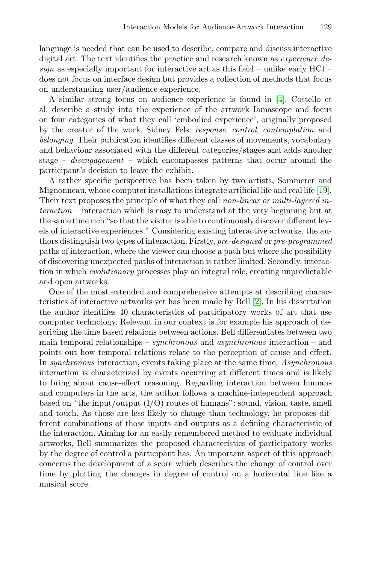language is needed that can be used to describe, compare and discuss interactive digital art. The text identifies the practice and research known as *experience design* as especially important for interactive art as this field – unlike early HCI – does not focus on interface design but provides a collection of methods that focus on understanding user/audience experience.

A similar strong focus on audience experience is found in [4]. Costello et al. describe a study into the experience of the artwork [Iam](#page-8-7)ascope and focus on four categories of what they call 'embodied experience', originally proposed by the creator of the work, Sidney Fels: *response*, *control*, *contemplation* and *belonging*. Their publication identifies different classes of movements, vocabulary and behaviour associated with the different categories/stages and adds another stage – *disengagement* – which encompasses patterns that occur around the participant's decision to leave the exhibit.

A rather specific perspective has been taken by two artists, Sommerer and Mignonneau, whose computer installations integrate artificial life and real life [19]. Their text proposes the principle of what they call *non-linear or multi-layered interaction* – interaction which is easy to understand at the very beginning but at the same time rich "so that the visitor is a[ble](#page-7-2) to continuously discover different levels of interactive experiences." Considering existing interactive artworks, the authors distinguish two types of interaction. Firstly, *pre-designed* or *pre-programmed* paths of interaction, where the viewer can choose a path but where the possibility of discovering unexpected paths of interaction is rather limited. Secondly, interaction in which *evolutionary* processes play an integral role, creating unpredictable and open artworks.

One of the most extended and comprehensive attempts at describing characteristics of interactive artworks yet has been made by Bell [2]. In his dissertation the author identifies 40 characteristics of participatory works of art that use computer technology. Relevant in our context is for example his approach of describing the time based relations between actions. Bell differentiates between two main temporal relationships – *synchronous* and *asynchronous* interaction – and points out how temporal relations relate to the perception of cause and effect. In *synchronous* interaction, events taking place at the same time. *Asynchronous* interaction is characterized by events occurring at different times and is likely to bring about cause-effect reasoning. Regarding interaction between humans and computers in the arts, the author follows a machine-independent approach based on "the input/output  $(I/O)$  routes of humans": sound, vision, taste, smell and touch. As those are less likely to change than technology, he proposes different combinations of those inputs and outputs as a defining characteristic of the interaction. Aiming for an easily remembered method to evaluate individual artworks, Bell summarizes the proposed characteristics of participatory works by the degree of control a participant has. An important aspect of this approach concerns the development of a score which describes the change of control over time by plotting the changes in degree of control on a horizontal line like a musical score.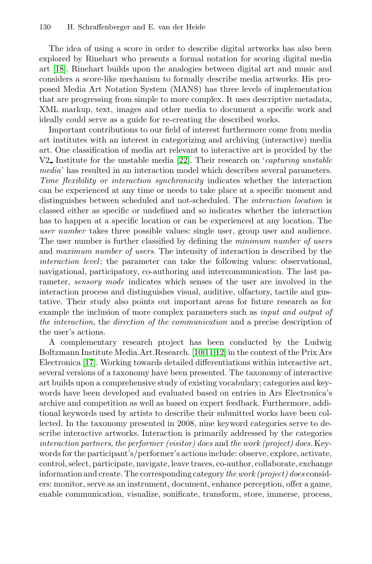#### 130 H. Schraffenberger and E. van der Heide

The idea of using a score in order to describe digital artworks has also been explored by Rinehart who presents a formal notation for scoring digital media art [18]. Rinehart builds upon the analogies between digital art and music and considers a score-li[ke m](#page-8-8)echanism to formally describe media artworks. His proposed Media Art Notation System (MANS) has three levels of implementation that are progressing from simple to more complex. It uses descriptive metadata, XML markup, text, images and other media to document a specific work and ideally could serve as a guide for re-creating the described works.

Important contributions to our field of interest furthermore come from media art institutes with an interest in categorizing and archiving (interactive) media art. One classification of media art relevant to interactive art is provided by the V2 Institute for the unstable media [22]. Their research on '*capturing unstable media*' has resulted in an interaction model which describes several parameters. *Time flexibility or interaction synchronicity* indicates whether the interaction can be experienced at any time or needs to take place at a specific moment and distinguishes between scheduled and not-scheduled. The *interaction location* is classed either as specific or undefined and so indicates whether the interaction has to happen at a specific location or can be experienced at any location. The *user number* takes three possible values: single user, group user and audience. The user number is further classified by defining the *minimum number of users* and *maximum number of users*. The intensity of interaction is described by the *interaction level*; the parameter can take the following values: observational, navigational, participat[ory](#page-8-9)[, co](#page-8-10)[-au](#page-8-11)thoring and intercommunication. The last parameter, *sensory mode* indicates which senses of the user are involved in the interaction process and distinguishes visual, auditive, olfactory, tactile and gustative. Their study also points out important areas for future research as for example the inclusion of more complex parameters such as *input and output of the interaction*, the *direction of the communication* and a precise description of the user's actions.

A complementary research project has been conducted by the Ludwig Boltzmann Institute Media.Art.Research. [10,11,12] in the context of the Prix Ars Electronica [17]. Working towards detailed differentiations within interactive art, several versions of a taxonomy have been presented. The taxonomy of interactive art builds upon a comprehensive study of existing vocabulary; categories and keywords have been developed and evaluated based on entries in Ars Electronica's archive and competition as well as based on expert feedback. Furthermore, additional keywords used by artists to describe their submitted works have been collected. In the taxonomy presented in 2008, nine keyword categories serve to describe interactive artworks. Interaction is primarily addressed by the categories *interaction partners*, *the performer (visitor) does* and *the work (project) does*. Keywords for the participant's/performer's actions include: observe, explore, activate, control, select, participate, navigate, leave traces, co-author, collaborate, exchange information and create. The corresponding category *the work (project) does* considers: monitor, serve as an instrument, document, enhance perception, offer a game, enable communication, visualize, sonificate, transform, store, immerse, process,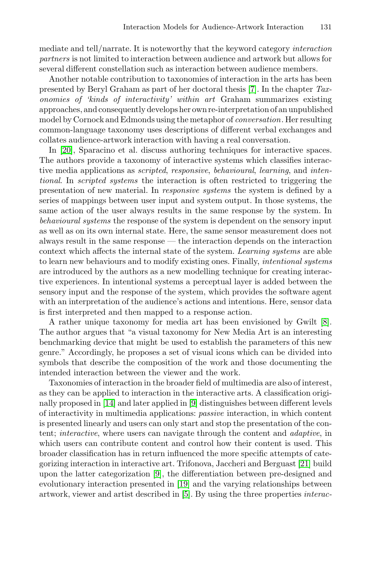mediate and tell/narrate. It is noteworthy that the keyword category *interaction partners* is not limited to interaction between audience and artwork but allows for several different constellation such as interaction between audience members.

Another notable contribution to taxonomies of interaction in the arts has been presented by Beryl Graham as part of her doctoral thesis [7]. In the chapter *Taxonomies of 'kinds of interactivity' within art* Graham summarizes existing approaches, and consequently develops her own re-interpretation of an unpublished model by Cornock and Edmonds using the metaphor of *conversation*. Her resulting common-language taxonomy uses descriptions of different verbal exchanges and collates audience-artwork interaction with having a real conversation.

In [20], Sparacino et al. discuss authoring techniques for interactive spaces. The authors provide a taxonomy of interactive systems which classifies interactive media applications as *scripted*, *responsive*, *behavioural*, *learning*, and *intentional*. In *scripted systems* the interaction is often restricted to triggering the presentation of new material. In *responsive systems* the system is defined by a series of mappings between user input and system output. In those systems, the same action of the user always results in the same response by the system. In *behavioural systems* the response of the system is dependent on the sensory input as well as on its own internal state. Here, the same sensor measurement does not always result in the same response — the interaction depen[ds](#page-8-12) on the interaction context which affects the internal state of the system. *Learning systems* are able to learn new behaviours and to modify existing ones. Finally, *intentional systems* are introduced by the authors as a new modelling technique for creating interactive experiences. In intentional systems a perceptual layer is added between the sensory input and the response of the system, which provides the software agent with an interpretation of the audience's actions and intentions. Here, sensor data is first interpreted and then mapped to a response action.

A rather unique ta[xon](#page-8-14)omy for media art has been envisioned by Gwilt [8]. [Th](#page-8-13)e author argues that "a visual taxonomy for New Media Art is an interesting benchmarking device that might be used to establish the parameters of this new genre." Accordingly, he proposes a set of visual icons which can be divided into symbols that describe the composition of the work and those documenting the intended interaction between the viewer and the work.

Taxonomies of interaction in the broader field of mu[ltim](#page-8-15)edia are also of interest, as they can b[e a](#page-8-14)pplied to interaction in the interactive arts. A classification originally proposed in [1[4\] an](#page-8-7)d later applied in [9] distinguishes between different levels of interactivity in mu[lti](#page-8-0)media applications: *passive* interaction, in which content is presented linearly and users can only start and stop the presentation of the content; *interactive*, where users can navigate through the content and *adaptive*, in which users can contribute content and control how their content is used. This broader classification has in return influenced the more specific attempts of categorizing interaction in interactive art. Trifonova, Jaccheri and Berguast [21] build upon the latter categorization [9], the differentiation between pre-designed and evolutionary interaction presented in [19] and the varying relationships between artwork, viewer and artist described in [5]. By using the three properties *interac-*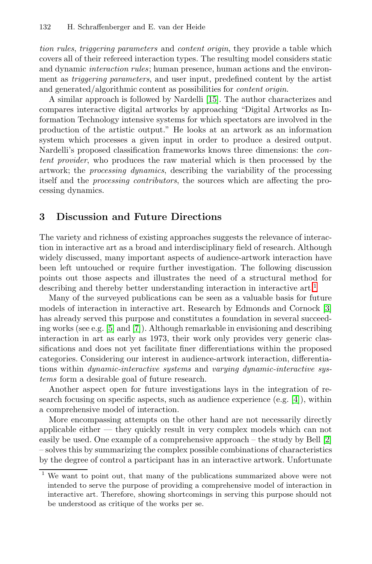#### 132 H. Schraffenberger an[d](#page-8-16) [E](#page-8-16). van der Heide

<span id="page-5-0"></span>*tion rules*, *triggering parameters* and *content origin*, they provide a table which covers all of their refereed interaction types. The resulting model considers static and dynamic *interaction rules*; human presence, human actions and the environment as *triggering parameters*, and user input, predefined content by the artist and generated/algorithmic content as possibilities for *content origin*.

A similar approach is followed by Nardelli [15]. The author characterizes and compares interactive digital artworks by approaching "Digital Artworks as Information Technology intensive systems for which spectators are involved in the production of the artistic output." He looks at an artwork as an information system which processes a given input in order to produce a desired output. Nardelli's proposed classification frameworks knows three dimensions: the *content provider*, who produces the raw material which is then processed by the artwork; the *processing dynamics*, describing the variability of the processing itself and the *processing contributors*, the sources which are affecting the processing dynamics.

## **3 Discussion and Future Directions**

The variety and richness of existing approaches suggests the [re](#page-8-3)levance of interac[tio](#page-8-0)n in i[nt](#page-8-17)eractive art as a broad and interdisciplinary field of research. Although widely discussed, many important aspects of audience-artwork interaction have been left untouched or require further investigation. The following discussion points out those aspects and illustrates the need of a structural method for describing and thereby better understanding interaction in interactive art.<sup>1</sup>

Many of the surveyed publications can be seen as a valuable basis for future models of interaction in interactive art. Research by Edmonds and Cornock [3] has already served this purpose and constitutes a f[ou](#page-8-6)ndation in several succeeding works (see e.g. [5] and [7]). Although remarkable in envisioning and describing interaction in art as early as 1973, their work only provides very generic classifications and does not yet facilitate finer differentiations within the proposed categories. Considering our interest in audience-artwork int[er](#page-7-2)action, differentiations within *dynamic-interactive systems* and *varying dynamic-interactive systems* form a desirable goal of future research.

Another aspect open for future investigations lays in the integration of research focusing on specific aspects, such as audience experience (e.g. [4]), within a comprehensive model of interaction.

More encompassing attempts on the other hand are not necessarily directly applicable either — they quickly result in very complex models which can not easily be used. One example of a comprehensive approach – the study by Bell [2] – solves this by summarizing the complex possible combinations of characteristics by the degree of control a participant has in an interactive artwork. Unfortunate

We want to point out, that many of the publications summarized above were not intended to serve the purpose of providing a comprehensive model of interaction in interactive art. Therefore, showing shortcomings in serving this purpose should not be understood as critique of the works per se.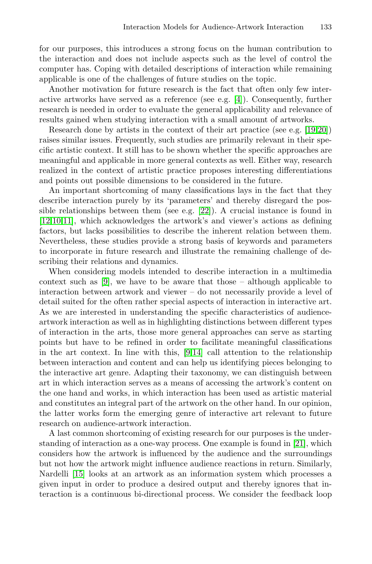for our purposes, this introduces a strong focus on t[he h](#page-8-7)[um](#page-8-18)an contribution to the interaction and does not include aspects such as the level of control the computer has. Coping with detailed descriptions of interaction while remaining applicable is one of the challenges of future studies on the topic.

Another motivation for future research is the fact that often only few interactive artworks have served as a reference (see e.g. [4]). Consequently, further research is needed in order to evaluate the general applicability and relevance of results gained when studying interaction with a small amount of artworks.

Research done by artis[ts i](#page-8-8)n the context of their art practice (see e.g. [19,20]) raises similar issues. Frequently, such studies are primarily relevant in their specific artistic context. It still has to be shown whether the specific approaches are meaningful and applicable in more general contexts as well. Either way, research realized in the context of artistic practice proposes interesting differentiations and points out possible dimensions to be considered in the future.

An important shortcoming of many classifications lays in the fact that they [d](#page-8-14)escribe interaction purely by its 'parameters' and thereby disregard the possible relationships between them (see e.g. [22]). A crucial instance is found in [12,10,11], which acknowledges the artwork's and viewer's actions as defining factors, but lacks possibilities to describe the inherent relation between them. Nevertheless, these studies provide a strong basis of keywords and parameters to incorporate in future research and illustrate the remaining challenge of describing their relations and dynamics.

When considering [m](#page-8-14)[ode](#page-8-13)ls intended to describe interaction in a multimedia context such as  $[9]$ , we have to be aware that those – although applicable to interaction between artwork and viewer – do not necessarily provide a level of detail suited for the often rather special aspects of interaction in interactive art. As we are interested in understanding the specific characteristics of audienceartwork interaction as well as in highlighting distinctions between different types of interaction in the arts, those more general approaches can serve as starting points but have to be refined in order to facilitate meaningful classifications in the art context. In line with this, [9,14] call attention to the relationship between interaction and content and can help us id[ent](#page-8-15)ifying pieces belonging to the interactive art genre. Adapting their taxonomy, we can distinguish between art in which interaction serves as a means of accessing the artwork's content on the one hand and works, in which interaction has been used as artistic material and constitutes an integral part of the artwork on the other hand. In our opinion, the latter works form the emerging genre of interactive art relevant to future research on audience-artwork interaction.

A last common shortcoming of existing research for our purposes is the understanding of interaction as a one-way process. One example is found in [21], which considers how the artwork is influenced by the audience and the surroundings but not how the artwork might influence audience reactions in return. Similarly, Nardelli [15] looks at an artwork as an information system which processes a given input in order to produce a desired output and thereby ignores that interaction is a continuous bi-directional process. We consider the feedback loop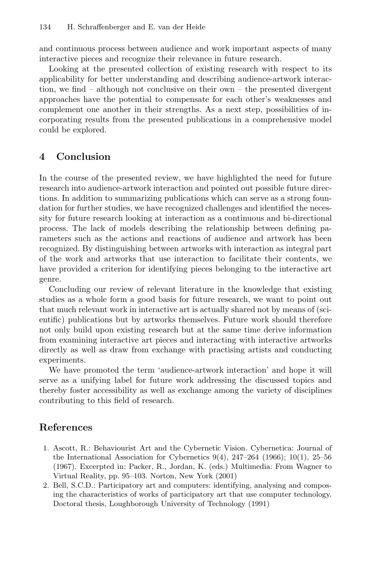and continuous process between audience and work important aspects of many interactive pieces and recognize their relevance in future research.

<span id="page-7-1"></span>Looking at the presented collection of existing research with respect to its applicability for better understanding and describing audience-artwork interaction, we find – although not conclusive on their own – the presented divergent approaches have the potential to compensate for each other's weaknesses and complement one another in their strengths. As a next step, possibilities of incorporating results from the presented publications in a comprehensive model could be explored.

## **4 Conclusion**

In the course of the presented review, we have highlighted the need for future research into audience-artwork interaction and pointed out possible future directions. In addition to summarizing publications which can serve as a strong foundation for further studies, we have recognized challenges and identified the necessity for future research looking at interaction as a continuous and bi-directional process. The lack of models describing the relationship between defining parameters such as the actions and reactions of audience and artwork has been recognized. By distinguishing between artworks with interaction as integral part of the work and artworks that use interaction to facilitate their contents, we have provided a criterion for identifying pieces belonging to the interactive art genre.

Concluding our review of relevant literature in the knowledge that existing studies as a whole form a good basis for future research, we want to point out that much relevant work in interactive art is actually shared not by means of (scientific) publications but by artworks themselves. Future work should therefore not only build upon existing research but at the same time derive information from examining interactive art pieces and interacting with interactive artworks directly as well as draw from exchange with practising artists and conducting experiments.

<span id="page-7-0"></span>We have promoted the term 'audience-artwork interaction' and hope it will serve as a unifying label for future work addressing the discussed topics and thereby foster accessibility as well as exchange among the variety of disciplines contributing to this field of research.

## <span id="page-7-2"></span>**References**

- 1. Ascott, R.: Behaviourist Art and the Cybernetic Vision. Cybernetica: Journal of the International Association for Cybernetics  $9(4)$ ,  $247-264$  (1966);  $10(1)$ ,  $25-56$ (1967). Excerpted in: Packer, R., Jordan, K. (eds.) Multimedia: From Wagner to Virtual Reality, pp. 95–103. Norton, New York (2001)
- 2. Bell, S.C.D.: Participatory art and computers: identifying, analysing and composing the characteristics of works of participatory art that use computer technology. Doctoral thesis, Loughborough University of Technology (1991)